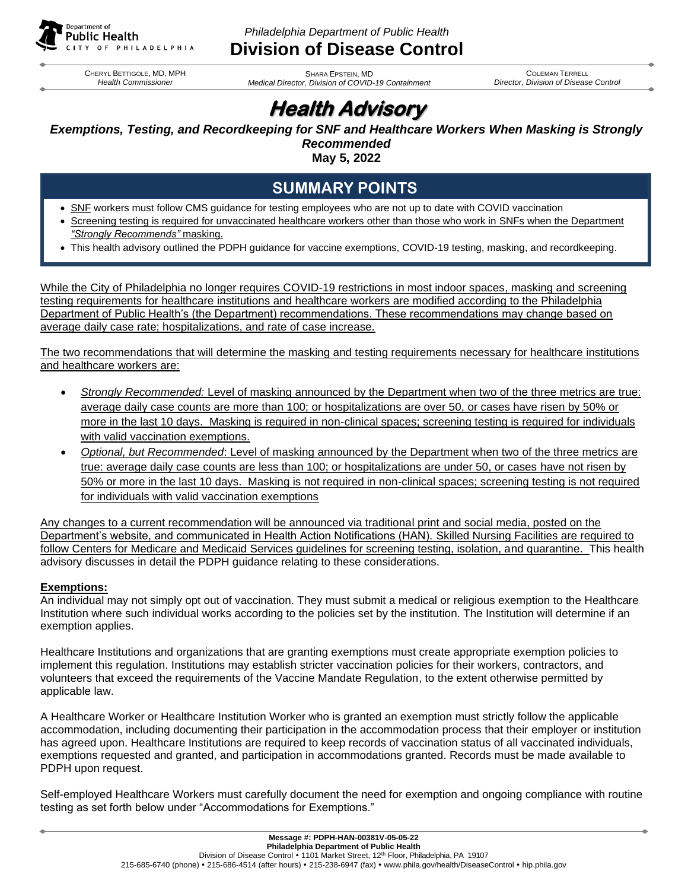

*Philadelphia Department of Public Health*

# **Division of Disease Control**

CHERYL BETTIGOLE, MD, MPH *Health Commissioner*

SHARA EPSTEIN, MD *Medical Director, Division of COVID-19 Containment*

COLEMAN TERRELL *Director, Division of Disease Control*

# **Health Advisory**

## *Exemptions, Testing, and Recordkeeping for SNF and Healthcare Workers When Masking is Strongly Recommended*

**May 5, 2022**

# **SUMMARY POINTS**

- SNF workers must follow CMS guidance for testing employees who are not up to date with COVID vaccination
- Screening testing is required for unvaccinated healthcare workers other than those who work in SNFs when the Department *"Strongly Recommends"* masking.
- This health advisory outlined the PDPH guidance for vaccine exemptions, COVID-19 testing, masking, and recordkeeping.

While the City of Philadelphia no longer requires COVID-19 restrictions in most indoor spaces, masking and screening testing requirements for healthcare institutions and healthcare workers are modified according to the Philadelphia Department of Public Health's (the Department) recommendations. These recommendations may change based on average daily case rate; hospitalizations, and rate of case increase.

The two recommendations that will determine the masking and testing requirements necessary for healthcare institutions and healthcare workers are:

- *Strongly Recommended:* Level of masking announced by the Department when two of the three metrics are true: average daily case counts are more than 100; or hospitalizations are over 50, or cases have risen by 50% or more in the last 10 days. Masking is required in non-clinical spaces; screening testing is required for individuals with valid vaccination exemptions.
- *Optional, but Recommended*: Level of masking announced by the Department when two of the three metrics are true: average daily case counts are less than 100; or hospitalizations are under 50, or cases have not risen by 50% or more in the last 10 days. Masking is not required in non-clinical spaces; screening testing is not required for individuals with valid vaccination exemptions

Any changes to a current recommendation will be announced via traditional print and social media, posted on the Department's website, and communicated in Health Action Notifications (HAN). Skilled Nursing Facilities are required to follow Centers for Medicare and Medicaid Services guidelines for screening testing, isolation, and quarantine. This health advisory discusses in detail the PDPH guidance relating to these considerations.

### **Exemptions:**

An individual may not simply opt out of vaccination. They must submit a medical or religious exemption to the Healthcare Institution where such individual works according to the policies set by the institution. The Institution will determine if an exemption applies.

Healthcare Institutions and organizations that are granting exemptions must create appropriate exemption policies to implement this regulation. Institutions may establish stricter vaccination policies for their workers, contractors, and volunteers that exceed the requirements of the Vaccine Mandate Regulation, to the extent otherwise permitted by applicable law.

A Healthcare Worker or Healthcare Institution Worker who is granted an exemption must strictly follow the applicable accommodation, including documenting their participation in the accommodation process that their employer or institution has agreed upon. Healthcare Institutions are required to keep records of vaccination status of all vaccinated individuals, exemptions requested and granted, and participation in accommodations granted. Records must be made available to PDPH upon request.

Self-employed Healthcare Workers must carefully document the need for exemption and ongoing compliance with routine testing as set forth below under "Accommodations for Exemptions."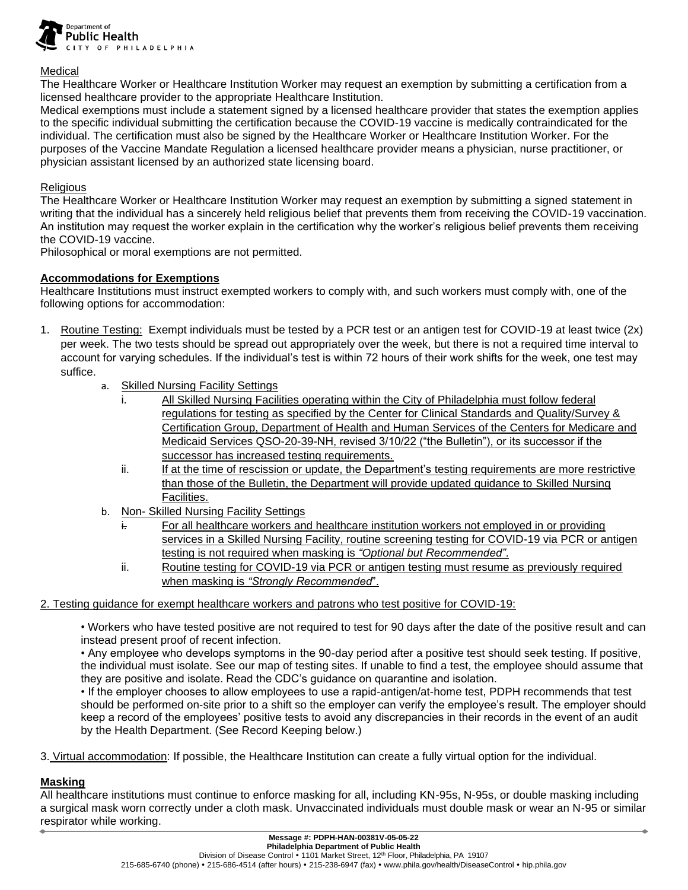

#### Medical

The Healthcare Worker or Healthcare Institution Worker may request an exemption by submitting a certification from a licensed healthcare provider to the appropriate Healthcare Institution.

Medical exemptions must include a statement signed by a licensed healthcare provider that states the exemption applies to the specific individual submitting the certification because the COVID-19 vaccine is medically contraindicated for the individual. The certification must also be signed by the Healthcare Worker or Healthcare Institution Worker. For the purposes of the Vaccine Mandate Regulation a licensed healthcare provider means a physician, nurse practitioner, or physician assistant licensed by an authorized state licensing board.

#### **Religious**

The Healthcare Worker or Healthcare Institution Worker may request an exemption by submitting a signed statement in writing that the individual has a sincerely held religious belief that prevents them from receiving the COVID-19 vaccination. An institution may request the worker explain in the certification why the worker's religious belief prevents them receiving the COVID-19 vaccine.

Philosophical or moral exemptions are not permitted.

#### **Accommodations for Exemptions**

Healthcare Institutions must instruct exempted workers to comply with, and such workers must comply with, one of the following options for accommodation:

- 1. Routine Testing: Exempt individuals must be tested by a PCR test or an antigen test for COVID-19 at least twice (2x) per week. The two tests should be spread out appropriately over the week, but there is not a required time interval to account for varying schedules. If the individual's test is within 72 hours of their work shifts for the week, one test may suffice.
	- a. Skilled Nursing Facility Settings
		- i. All Skilled Nursing Facilities operating within the City of Philadelphia must follow federal regulations for testing as specified by the Center for Clinical Standards and Quality/Survey & Certification Group, Department of Health and Human Services of the Centers for Medicare and Medicaid Services QSO-20-39-NH, revised 3/10/22 ("the Bulletin"), or its successor if the successor has increased testing requirements.
		- ii. If at the time of rescission or update, the Department's testing requirements are more restrictive than those of the Bulletin, the Department will provide updated guidance to Skilled Nursing Facilities.
	- b. Non- Skilled Nursing Facility Settings
		- For all healthcare workers and healthcare institution workers not employed in or providing services in a Skilled Nursing Facility, routine screening testing for COVID-19 via PCR or antigen testing is not required when masking is *"Optional but Recommended"*.
		- ii. Routine testing for COVID-19 via PCR or antigen testing must resume as previously required when masking is *"Strongly Recommended*".

#### 2. Testing guidance for exempt healthcare workers and patrons who test positive for COVID-19:

• Workers who have tested positive are not required to test for 90 days after the date of the positive result and can instead present proof of recent infection.

• Any employee who develops symptoms in the 90-day period after a positive test should seek testing. If positive, the individual must isolate. See our map of testing sites. If unable to find a test, the employee should assume that they are positive and isolate. Read the CDC's guidance on quarantine and isolation.

• If the employer chooses to allow employees to use a rapid-antigen/at-home test, PDPH recommends that test should be performed on-site prior to a shift so the employer can verify the employee's result. The employer should keep a record of the employees' positive tests to avoid any discrepancies in their records in the event of an audit by the Health Department. (See Record Keeping below.)

3. Virtual accommodation: If possible, the Healthcare Institution can create a fully virtual option for the individual.

#### **Masking**

All healthcare institutions must continue to enforce masking for all, including KN-95s, N-95s, or double masking including a surgical mask worn correctly under a cloth mask. Unvaccinated individuals must double mask or wear an N-95 or similar respirator while working.